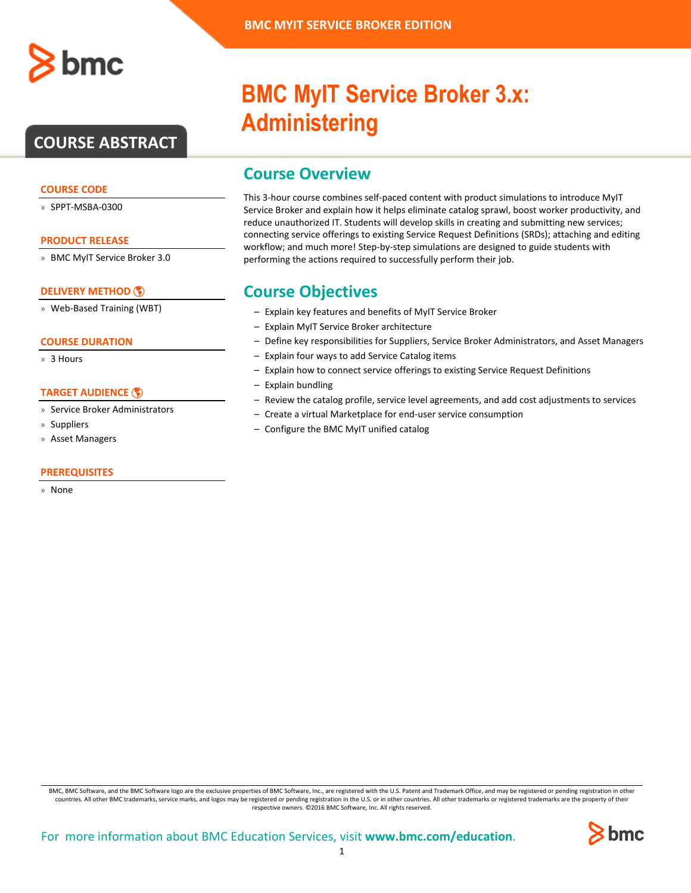

# **COURSE ABSTRACT**

## **COURSE CODE**

» SPPT-MSBA-0300

#### **PRODUCT RELEASE**

» BMC MyIT Service Broker 3.0

## **[DELIVERY METHOD](http://www.bmc.com/education/modality.html)**

» Web-Based Training (WBT)

## **COURSE DURATION**

» 3 Hours

## **[TARGET AUDIENCE](http://www.bmc.com/education/learning-paths/education-filters-learning-paths.html)**

- » Service Broker Administrators
- » Suppliers
- » Asset Managers

## **PREREQUISITES**

» None

# **BMC MyIT Service Broker 3.x: Administering**

# **Course Overview**

This 3-hour course combines self-paced content with product simulations to introduce MyIT Service Broker and explain how it helps eliminate catalog sprawl, boost worker productivity, and reduce unauthorized IT. Students will develop skills in creating and submitting new services; connecting service offerings to existing Service Request Definitions (SRDs); attaching and editing workflow; and much more! Step-by-step simulations are designed to guide students with performing the actions required to successfully perform their job.

## **Course Objectives**

- Explain key features and benefits of MyIT Service Broker
- Explain MyIT Service Broker architecture
- Define key responsibilities for Suppliers, Service Broker Administrators, and Asset Managers
- Explain four ways to add Service Catalog items
- Explain how to connect service offerings to existing Service Request Definitions
- Explain bundling
- Review the catalog profile, service level agreements, and add cost adjustments to services
- Create a virtual Marketplace for end-user service consumption
- Configure the BMC MyIT unified catalog

BMC, BMC Software, and the BMC Software logo are the exclusive properties of BMC Software, Inc., are registered with the U.S. Patent and Trademark Office, and may be registered or pending registration in other countries. All other BMC trademarks, service marks, and logos may be registered or pending registration in the U.S. or in other countries. All other trademarks or registered trademarks are the property of their respective owners. ©2016 BMC Software, Inc. All rights reserved.